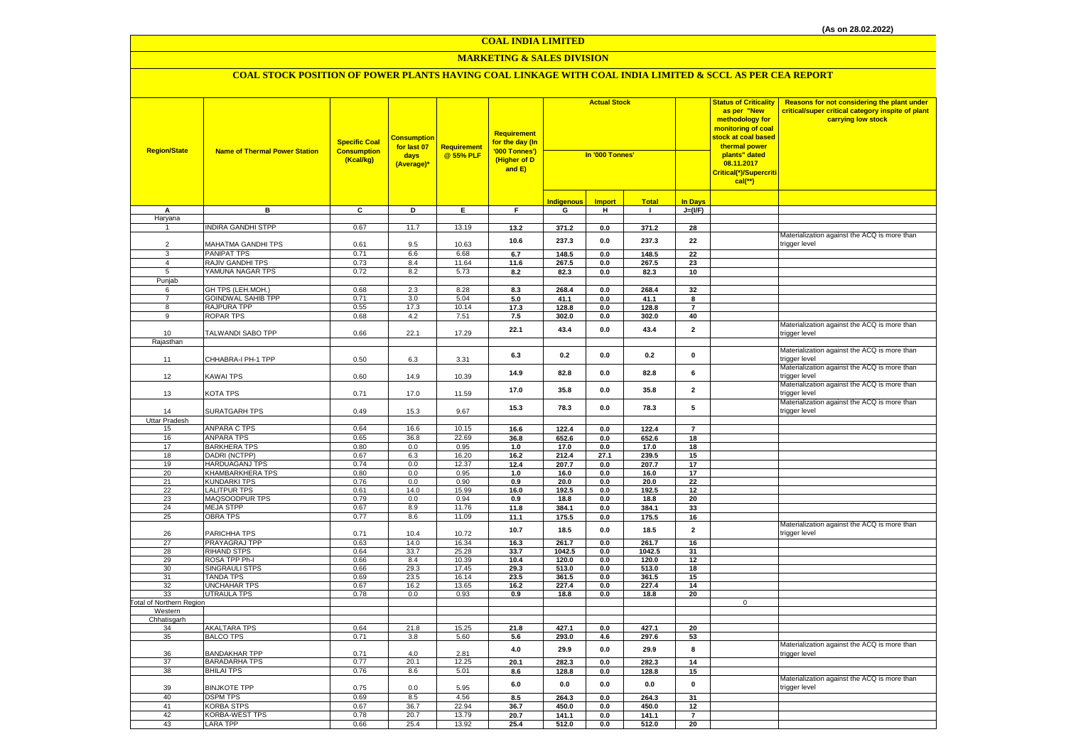### **MARKETING & SALES DIVISION**

| <b>Region/State</b>             | <b>Name of Thermal Power Station</b>      | <b>Specific Coal</b><br><b>Consumption</b><br>(Kcal/kg) | <mark>Consumption</mark><br>for last 07<br>days<br>(Average)* | <b>Requirement</b><br>@ 55% PLF | <b>Requirement</b><br>for the day (In<br>'000 Tonnes')<br>(Higher of D<br>and E) | <b>Actual Stock</b><br>In '000 Tonnes' |                |                |                         | <b>Status of Criticality</b><br>as per "New<br>methodology for<br>monitoring of coal<br>stock at coal based<br>thermal power<br>plants" dated<br>08.11.2017<br>Critical(*)/Supercriti<br>$cal$ (**) | Reasons for not considering the plant under<br>critical/super critical category inspite of plant<br>carrying low stock |
|---------------------------------|-------------------------------------------|---------------------------------------------------------|---------------------------------------------------------------|---------------------------------|----------------------------------------------------------------------------------|----------------------------------------|----------------|----------------|-------------------------|-----------------------------------------------------------------------------------------------------------------------------------------------------------------------------------------------------|------------------------------------------------------------------------------------------------------------------------|
|                                 |                                           |                                                         |                                                               |                                 |                                                                                  | Indigenous                             | <b>Import</b>  | <b>Total</b>   | <b>In Days</b>          |                                                                                                                                                                                                     |                                                                                                                        |
| А                               | в                                         | C                                                       | D                                                             | Ε.                              | F.                                                                               | G                                      | н.             | $\mathbf{I}$   | $J=(VF)$                |                                                                                                                                                                                                     |                                                                                                                        |
| Haryana                         |                                           |                                                         |                                                               |                                 |                                                                                  |                                        |                |                |                         |                                                                                                                                                                                                     |                                                                                                                        |
| $\overline{1}$                  | INDIRA GANDHI STPP                        | 0.67                                                    | 11.7                                                          | 13.19                           | 13.2                                                                             | 371.2                                  | 0.0            | 371.2          | 28                      |                                                                                                                                                                                                     |                                                                                                                        |
|                                 |                                           |                                                         |                                                               |                                 | 10.6                                                                             | 237.3                                  | 0.0            | 237.3          | 22                      |                                                                                                                                                                                                     | Materialization against the ACQ is more than                                                                           |
| $\overline{2}$                  | MAHATMA GANDHI TPS                        | 0.61<br>0.71                                            | 9.5                                                           | 10.63                           |                                                                                  |                                        |                |                |                         |                                                                                                                                                                                                     | trigger level                                                                                                          |
| 3                               | <b>PANIPAT TPS</b><br>RAJIV GANDHI TPS    | 0.73                                                    | 6.6<br>8.4                                                    | 6.68<br>11.64                   | 6.7                                                                              | 148.5                                  | 0.0            | 148.5          | $\overline{22}$         |                                                                                                                                                                                                     |                                                                                                                        |
| 4<br>5                          | YAMUNA NAGAR TPS                          | 0.72                                                    | 8.2                                                           | 5.73                            | 11.6<br>8.2                                                                      | 267.5<br>82.3                          | 0.0<br>0.0     | 267.5<br>82.3  | 23<br>10                |                                                                                                                                                                                                     |                                                                                                                        |
| Punjab                          |                                           |                                                         |                                                               |                                 |                                                                                  |                                        |                |                |                         |                                                                                                                                                                                                     |                                                                                                                        |
| 6                               | GH TPS (LEH.MOH.)                         | 0.68                                                    | 2.3                                                           | 8.28                            | 8.3                                                                              | 268.4                                  | 0.0            | 268.4          | 32                      |                                                                                                                                                                                                     |                                                                                                                        |
| $\overline{7}$                  | <b>GOINDWAL SAHIB TPP</b>                 | 0.71                                                    | 3.0                                                           | 5.04                            | 5.0                                                                              | 41.1                                   | 0.0            | 41.1           | 8                       |                                                                                                                                                                                                     |                                                                                                                        |
| 8                               | RAJPURA TPP                               | 0.55                                                    | 17.3                                                          | 10.14                           | 17.3                                                                             | 128.8                                  | 0.0            | 128.8          | $\overline{7}$          |                                                                                                                                                                                                     |                                                                                                                        |
| 9                               | <b>ROPAR TPS</b>                          | 0.68                                                    | 4.2                                                           | 7.51                            | 7.5                                                                              | 302.0                                  | 0.0            | 302.0          | 40                      |                                                                                                                                                                                                     |                                                                                                                        |
| 10                              | TALWANDI SABO TPP                         | 0.66                                                    | 22.1                                                          | 17.29                           | 22.1                                                                             | 43.4                                   | 0.0            | 43.4           | $\overline{\mathbf{2}}$ |                                                                                                                                                                                                     | Materialization against the ACQ is more than<br>trigger level                                                          |
| Rajasthan                       |                                           |                                                         |                                                               |                                 |                                                                                  |                                        |                |                |                         |                                                                                                                                                                                                     |                                                                                                                        |
| 11                              | CHHABRA-I PH-1 TPP                        | 0.50                                                    | 6.3                                                           | 3.31                            | 6.3                                                                              | 0.2                                    | 0.0            | 0.2            | $\mathbf 0$             |                                                                                                                                                                                                     | Materialization against the ACQ is more than<br>trigger level                                                          |
| 12                              | <b>KAWAI TPS</b>                          | 0.60                                                    | 14.9                                                          | 10.39                           | 14.9                                                                             | 82.8                                   | 0.0            | 82.8           | 6                       |                                                                                                                                                                                                     | Materialization against the ACQ is more than<br>trigger level                                                          |
| 13                              | KOTA TPS                                  | 0.71                                                    | 17.0                                                          | 11.59                           | 17.0                                                                             | 35.8                                   | 0.0            | 35.8           | $\mathbf{2}$            |                                                                                                                                                                                                     | Materialization against the ACQ is more than<br>trigger level                                                          |
| 14                              | SURATGARH TPS                             | 0.49                                                    | 15.3                                                          | 9.67                            | 15.3                                                                             | 78.3                                   | 0.0            | 78.3           | 5                       |                                                                                                                                                                                                     | Materialization against the ACQ is more than<br>trigger level                                                          |
| Uttar Pradesh                   | <b>ANPARA C TPS</b>                       | 0.64                                                    | 16.6                                                          | 10.15                           | 16.6                                                                             | 122.4                                  | 0.0            | 122.4          | $\overline{7}$          |                                                                                                                                                                                                     |                                                                                                                        |
| 15<br>16                        | <b>ANPARA TPS</b>                         | 0.65                                                    | 36.8                                                          | 22.69                           | 36.8                                                                             | 652.6                                  | 0.0            | 652.6          | 18                      |                                                                                                                                                                                                     |                                                                                                                        |
| 17                              | <b>BARKHERA TPS</b>                       | 0.80                                                    | 0.0                                                           | 0.95                            | 1.0                                                                              | 17.0                                   | 0.0            | 17.0           | 18                      |                                                                                                                                                                                                     |                                                                                                                        |
| 18                              | DADRI (NCTPP)                             | 0.67                                                    | 6.3                                                           | 16.20                           | 16.2                                                                             | 212.4                                  | 27.1           | 239.5          | 15                      |                                                                                                                                                                                                     |                                                                                                                        |
| 19                              | HARDUAGANJ TPS                            | 0.74                                                    | 0.0                                                           | 12.37                           | 12.4                                                                             | 207.7                                  | 0.0            | 207.7          | 17                      |                                                                                                                                                                                                     |                                                                                                                        |
| 20                              | KHAMBARKHERA TPS                          | 0.80                                                    | 0.0                                                           | 0.95                            | 1.0                                                                              | 16.0                                   | 0.0            | 16.0           | 17                      |                                                                                                                                                                                                     |                                                                                                                        |
| 21                              | <b>KUNDARKI TPS</b>                       | 0.76                                                    | 0.0                                                           | 0.90                            | 0.9                                                                              | 20.0                                   | 0.0            | 20.0           | 22                      |                                                                                                                                                                                                     |                                                                                                                        |
| 22                              | <b>LALITPUR TPS</b>                       | 0.61                                                    | 14.0                                                          | 15.99                           | 16.0                                                                             | 192.5                                  | 0.0            | 192.5          | 12                      |                                                                                                                                                                                                     |                                                                                                                        |
| 23                              | MAQSOODPUR TPS                            | 0.79                                                    | 0.0                                                           | 0.94                            | 0.9                                                                              | 18.8                                   | 0.0            | 18.8           | 20                      |                                                                                                                                                                                                     |                                                                                                                        |
| 24                              | <b>MEJA STPP</b>                          | 0.67                                                    | 8.9                                                           | 11.76                           | 11.8                                                                             | 384.1                                  | 0.0            | 384.1          | 33                      |                                                                                                                                                                                                     |                                                                                                                        |
| 25                              | <b>OBRA TPS</b>                           | 0.77                                                    | 8.6                                                           | 11.09                           | 11.1                                                                             | 175.5                                  | 0.0            | 175.5          | 16                      |                                                                                                                                                                                                     | Materialization against the ACQ is more than                                                                           |
| 26                              | PARICHHA TPS                              | 0.71                                                    | 10.4                                                          | 10.72                           | 10.7                                                                             | 18.5                                   | 0.0            | 18.5           | $\overline{2}$          |                                                                                                                                                                                                     | trigger level                                                                                                          |
| 27                              | PRAYAGRAJ TPP                             | 0.63                                                    | 14.0                                                          | 16.34                           | 16.3                                                                             | 261.7                                  | 0.0            | 261.7          | 16                      |                                                                                                                                                                                                     |                                                                                                                        |
| 28                              | <b>RIHAND STPS</b>                        | 0.64                                                    | 33.7                                                          | 25.28                           | 33.7                                                                             | 1042.5                                 | 0.0            | 1042.5         | 31                      |                                                                                                                                                                                                     |                                                                                                                        |
| 29                              | ROSA TPP Ph-I                             | 0.66                                                    | 8.4                                                           | 10.39                           | 10.4                                                                             | 120.0                                  | 0.0            | 120.0          | 12                      |                                                                                                                                                                                                     |                                                                                                                        |
| 30<br>31                        | <b>SINGRAULI STPS</b><br><b>TANDA TPS</b> | 0.66<br>0.69                                            | 29.3                                                          | 17.45<br>16.14                  | 29.3                                                                             | 513.0<br>361.5                         | 0.0<br>0.0     | 513.0          | 18<br>15                |                                                                                                                                                                                                     |                                                                                                                        |
| 32                              | <b>UNCHAHAR TPS</b>                       | 0.67                                                    | 23.5<br>16.2                                                  | 13.65                           | 23.5<br>16.2                                                                     | 227.4                                  | 0.0            | 361.5<br>227.4 | 14                      |                                                                                                                                                                                                     |                                                                                                                        |
| 33                              | <b>UTRAULA TPS</b>                        | 0.78                                                    | 0.0                                                           | 0.93                            | 0.9                                                                              | 18.8                                   | 0.0            | 18.8           | 20                      |                                                                                                                                                                                                     |                                                                                                                        |
| <b>Total of Northern Region</b> |                                           |                                                         |                                                               |                                 |                                                                                  |                                        |                |                |                         | $\mathbf 0$                                                                                                                                                                                         |                                                                                                                        |
| Western                         |                                           |                                                         |                                                               |                                 |                                                                                  |                                        |                |                |                         |                                                                                                                                                                                                     |                                                                                                                        |
| Chhatisgarh                     |                                           |                                                         |                                                               |                                 |                                                                                  |                                        |                |                |                         |                                                                                                                                                                                                     |                                                                                                                        |
| 34                              | <b>AKALTARA TPS</b>                       | 0.64                                                    | 21.8                                                          | 15.25                           | 21.8                                                                             | 427.1                                  | 0.0            | 427.1          | 20                      |                                                                                                                                                                                                     |                                                                                                                        |
| 35<br>36                        | <b>BALCO TPS</b><br><b>BANDAKHAR TPP</b>  | 0.71<br>0.71                                            | 3.8<br>4.0                                                    | 5.60<br>2.81                    | 5.6<br>$4.0\,$                                                                   | 293.0<br>29.9                          | 4.6<br>$0.0\,$ | 297.6<br>29.9  | 53<br>8                 |                                                                                                                                                                                                     | Materialization against the ACQ is more than                                                                           |
| 37                              | <b>BARADARHA TPS</b>                      | 0.77                                                    | 20.1                                                          | 12.25                           | 20.1                                                                             | 282.3                                  | 0.0            | 282.3          | 14                      |                                                                                                                                                                                                     | trigger level                                                                                                          |
| 38                              | <b>BHILAI TPS</b>                         | 0.76                                                    | 8.6                                                           | 5.01                            | 8.6                                                                              | 128.8                                  | 0.0            | 128.8          | 15                      |                                                                                                                                                                                                     |                                                                                                                        |
| 39                              | <b>BINJKOTE TPP</b>                       | 0.75                                                    | 0.0                                                           | 5.95                            | 6.0                                                                              | 0.0                                    | 0.0            | 0.0            | 0                       |                                                                                                                                                                                                     | Materialization against the ACQ is more than<br>trigger level                                                          |
| 40                              | <b>DSPM TPS</b>                           | 0.69                                                    | 8.5                                                           | 4.56                            | 8.5                                                                              | 264.3                                  | 0.0            | 264.3          | 31                      |                                                                                                                                                                                                     |                                                                                                                        |
| 41                              | <b>KORBA STPS</b>                         | 0.67                                                    | 36.7                                                          | 22.94                           | 36.7                                                                             | 450.0                                  | 0.0            | 450.0          | 12                      |                                                                                                                                                                                                     |                                                                                                                        |
| 42                              | <b>KORBA-WEST TPS</b>                     | 0.78                                                    | 20.7                                                          | 13.79                           | 20.7                                                                             | 141.1                                  | 0.0            | 141.1          | $\overline{\mathbf{z}}$ |                                                                                                                                                                                                     |                                                                                                                        |
| 43                              | <b>LARA TPP</b>                           | 0.66                                                    | 25.4                                                          | 13.92                           | 25.4                                                                             | 512.0                                  | 0.0            | 512.0          | 20                      |                                                                                                                                                                                                     |                                                                                                                        |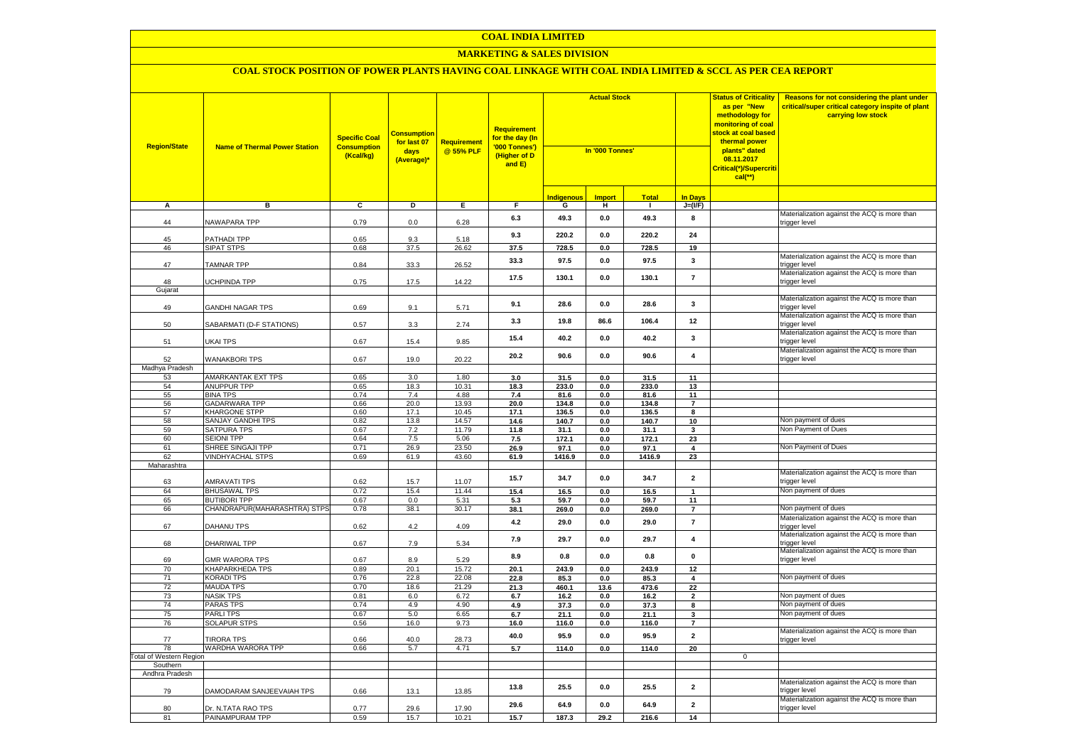### **MARKETING & SALES DIVISION**

| <b>Region/State</b>            | <b>Name of Thermal Power Station</b>  | <b>Specific Coal</b><br><b>Consumption</b><br>(Kcal/kg) | <b>Consumption</b><br>for last 07<br>days<br>(Average)* | <b>Requirement</b><br>@ 55% PLF | Requirement<br>for the day (In<br>'000 Tonnes')<br>(Higher of D<br>and $E$ ) | <b>Actual Stock</b><br>In '000 Tonnes' |                |               |                               | <b>Status of Criticality</b><br>as per "New<br>methodology for<br>monitoring of coal<br>stock at coal based<br>thermal power<br>plants" dated<br>08.11.2017<br><mark>Critical(*)/Supercriti</mark><br>$cal$ (**) | Reasons for not considering the plant under<br>critical/super critical category inspite of plant<br>carrying low stock |
|--------------------------------|---------------------------------------|---------------------------------------------------------|---------------------------------------------------------|---------------------------------|------------------------------------------------------------------------------|----------------------------------------|----------------|---------------|-------------------------------|------------------------------------------------------------------------------------------------------------------------------------------------------------------------------------------------------------------|------------------------------------------------------------------------------------------------------------------------|
|                                |                                       |                                                         |                                                         |                                 |                                                                              | <b>Indigenous</b>                      | <b>Import</b>  | <b>Total</b>  | <b>In Days</b>                |                                                                                                                                                                                                                  |                                                                                                                        |
| A                              | в                                     | C                                                       | D                                                       | Е.                              | F.                                                                           | G                                      | н.             | $\mathbf{I}$  | $J=(VF)$                      |                                                                                                                                                                                                                  |                                                                                                                        |
| 44                             | NAWAPARA TPP                          | 0.79                                                    | 0.0                                                     | 6.28                            | 6.3                                                                          | 49.3                                   | 0.0            | 49.3          | 8                             |                                                                                                                                                                                                                  | Materialization against the ACQ is more than<br>trigger level                                                          |
| 45                             | PATHADI TPP                           | 0.65                                                    | 9.3                                                     | 5.18                            | 9.3                                                                          | 220.2                                  | 0.0            | 220.2         | ${\bf 24}$                    |                                                                                                                                                                                                                  |                                                                                                                        |
| 46                             | <b>SIPAT STPS</b>                     | 0.68                                                    | 37.5                                                    | 26.62                           | 37.5                                                                         | 728.5                                  | 0.0            | 728.5         | 19                            |                                                                                                                                                                                                                  |                                                                                                                        |
| 47                             | <b>TAMNAR TPP</b>                     | 0.84                                                    | 33.3                                                    | 26.52                           | 33.3                                                                         | 97.5                                   | 0.0            | 97.5          | 3                             |                                                                                                                                                                                                                  | Materialization against the ACQ is more than<br>trigger level<br>Materialization against the ACQ is more than          |
| 48                             | UCHPINDA TPP                          | 0.75                                                    | 17.5                                                    | 14.22                           | 17.5                                                                         | 130.1                                  | 0.0            | 130.1         | $\overline{7}$                |                                                                                                                                                                                                                  | trigger level                                                                                                          |
| Gujarat                        |                                       |                                                         |                                                         |                                 |                                                                              |                                        |                |               |                               |                                                                                                                                                                                                                  | Materialization against the ACQ is more than                                                                           |
| 49                             | GANDHI NAGAR TPS                      | 0.69                                                    | 9.1                                                     | 5.71                            | 9.1                                                                          | 28.6                                   | 0.0            | 28.6          | $\mathbf{3}$                  |                                                                                                                                                                                                                  | trigger level                                                                                                          |
| 50                             | SABARMATI (D-F STATIONS)              | 0.57                                                    | 3.3                                                     | 2.74                            | 3.3                                                                          | 19.8                                   | 86.6           | 106.4         | 12                            |                                                                                                                                                                                                                  | Materialization against the ACQ is more than<br>trigger level                                                          |
| 51                             | UKAI TPS                              | 0.67                                                    | 15.4                                                    | 9.85                            | 15.4                                                                         | 40.2                                   | 0.0            | 40.2          | 3                             |                                                                                                                                                                                                                  | Materialization against the ACQ is more than<br>trigger level                                                          |
| 52                             | <b>WANAKBORI TPS</b>                  | 0.67                                                    | 19.0                                                    | 20.22                           | 20.2                                                                         | 90.6                                   | 0.0            | 90.6          | $\overline{\mathbf{4}}$       |                                                                                                                                                                                                                  | Materialization against the ACQ is more than<br>trigger level                                                          |
| Madhya Pradesh                 |                                       |                                                         |                                                         |                                 |                                                                              |                                        |                |               |                               |                                                                                                                                                                                                                  |                                                                                                                        |
| 53                             | <b>AMARKANTAK EXT TPS</b>             | 0.65                                                    | 3.0                                                     | 1.80                            | 3.0                                                                          | 31.5                                   | 0.0            | 31.5          | 11                            |                                                                                                                                                                                                                  |                                                                                                                        |
| 54                             | ANUPPUR TPP                           | 0.65                                                    | 18.3                                                    | 10.31                           | 18.3                                                                         | 233.0                                  | 0.0            | 233.0         | 13                            |                                                                                                                                                                                                                  |                                                                                                                        |
| 55                             | <b>BINA TPS</b>                       | 0.74                                                    | 7.4                                                     | 4.88                            | 7.4                                                                          | 81.6                                   | 0.0            | 81.6          | 11                            |                                                                                                                                                                                                                  |                                                                                                                        |
| 56<br>57                       | GADARWARA TPP<br><b>KHARGONE STPP</b> | 0.66<br>0.60                                            | 20.0<br>17.1                                            | 13.93<br>10.45                  | 20.0<br>17.1                                                                 | 134.8                                  | 0.0            | 134.8         | $\overline{7}$<br>8           |                                                                                                                                                                                                                  |                                                                                                                        |
| 58                             | SANJAY GANDHI TPS                     | 0.82                                                    |                                                         | 14.57                           |                                                                              | 136.5                                  | 0.0            | 136.5         | 10                            |                                                                                                                                                                                                                  | Non payment of dues                                                                                                    |
| 59                             | SATPURA TPS                           | 0.67                                                    | 13.8<br>7.2                                             | 11.79                           | 14.6<br>11.8                                                                 | 140.7<br>31.1                          | 0.0<br>0.0     | 140.7<br>31.1 | $\mathbf{3}$                  |                                                                                                                                                                                                                  | Non Payment of Dues                                                                                                    |
| 60                             | <b>SEIONI TPP</b>                     | 0.64                                                    | 7.5                                                     | 5.06                            | 7.5                                                                          | 172.1                                  | 0.0            | 172.1         | 23                            |                                                                                                                                                                                                                  |                                                                                                                        |
| 61                             | SHREE SINGAJI TPP                     | 0.71                                                    | 26.9                                                    | 23.50                           | 26.9                                                                         | 97.1                                   | 0.0            | 97.1          | 4                             |                                                                                                                                                                                                                  | Non Payment of Dues                                                                                                    |
| 62                             | <b>VINDHYACHAL STPS</b>               | 0.69                                                    | 61.9                                                    | 43.60                           | 61.9                                                                         | 1416.9                                 | 0.0            | 1416.9        | 23                            |                                                                                                                                                                                                                  |                                                                                                                        |
| Maharashtra                    |                                       |                                                         |                                                         |                                 |                                                                              |                                        |                |               |                               |                                                                                                                                                                                                                  |                                                                                                                        |
| 63                             | <b>AMRAVATI TPS</b>                   | 0.62                                                    | 15.7                                                    | 11.07                           | 15.7                                                                         | 34.7                                   | 0.0            | 34.7          | $\overline{\mathbf{2}}$       |                                                                                                                                                                                                                  | Materialization against the ACQ is more than<br>trigger level                                                          |
| 64                             | <b>BHUSAWAL TPS</b>                   | 0.72                                                    | 15.4                                                    | 11.44                           | 15.4                                                                         | 16.5                                   | 0.0            | 16.5          | 1                             |                                                                                                                                                                                                                  | Non payment of dues                                                                                                    |
| 65                             | <b>BUTIBORI TPP</b>                   | 0.67                                                    | 0.0                                                     | 5.31                            | 5.3                                                                          | 59.7                                   | 0.0            | 59.7          | 11                            |                                                                                                                                                                                                                  |                                                                                                                        |
| 66                             | CHANDRAPUR(MAHARASHTRA) STPS          | 0.78                                                    | 38.1                                                    | 30.17                           | 38.1                                                                         | 269.0                                  | 0.0            | 269.0         | $\overline{7}$                |                                                                                                                                                                                                                  | Non payment of dues                                                                                                    |
| 67                             | DAHANU TPS                            | 0.62                                                    | 4.2                                                     | 4.09                            | 4.2                                                                          | 29.0                                   | $\mathbf{0.0}$ | 29.0          | $\overline{7}$                |                                                                                                                                                                                                                  | Materialization against the ACQ is more than<br>trigger level                                                          |
| 68                             | DHARIWAL TPP                          | 0.67                                                    | 7.9                                                     | 5.34                            | 7.9                                                                          | 29.7                                   | 0.0            | 29.7          | 4                             |                                                                                                                                                                                                                  | Materialization against the ACQ is more than<br>trigger level                                                          |
| 69                             | <b>GMR WARORA TPS</b>                 | 0.67                                                    | 8.9                                                     | 5.29                            | 8.9                                                                          | 0.8                                    | $\mathbf{0.0}$ | $0.8\,$       | $\pmb{0}$                     |                                                                                                                                                                                                                  | Materialization against the ACQ is more than<br>trigger level                                                          |
| 70                             | <b>KHAPARKHEDA TPS</b>                | 0.89                                                    | 20.1                                                    | 15.72                           | 20.1                                                                         | 243.9                                  | 0.0            | 243.9         | 12                            |                                                                                                                                                                                                                  |                                                                                                                        |
| 71<br>72                       | <b>KORADI TPS</b><br><b>MAUDA TPS</b> | 0.76<br>0.70                                            | 22.8<br>18.6                                            | 22.08<br>21.29                  | 22.8                                                                         | 85.3                                   | 0.0            | 85.3          | 4                             |                                                                                                                                                                                                                  | Non payment of dues                                                                                                    |
| 73                             | <b>NASIK TPS</b>                      | 0.81                                                    | 6.0                                                     | 6.72                            | 21.3<br>6.7                                                                  | 460.1<br>16.2                          | 13.6<br>0.0    | 473.6<br>16.2 | 22<br>$\overline{\mathbf{2}}$ |                                                                                                                                                                                                                  | Non payment of dues                                                                                                    |
| 74                             | <b>PARAS TPS</b>                      | 0.74                                                    | 4.9                                                     | 4.90                            | 4.9                                                                          | 37.3                                   | 0.0            | 37.3          | 8                             |                                                                                                                                                                                                                  | Non payment of dues                                                                                                    |
| 75                             | <b>PARLITPS</b>                       | 0.67                                                    | 5.0                                                     | 6.65                            | 6.7                                                                          | 21.1                                   | 0.0            | 21.1          | 3                             |                                                                                                                                                                                                                  | Non payment of dues                                                                                                    |
| 76                             | SOLAPUR STPS                          | 0.56                                                    | 16.0                                                    | 9.73                            | 16.0                                                                         | 116.0                                  | 0.0            | 116.0         | $\overline{7}$                |                                                                                                                                                                                                                  |                                                                                                                        |
| 77                             | <b>TIRORA TPS</b>                     | 0.66                                                    | 40.0                                                    | 28.73                           | 40.0                                                                         | 95.9                                   | 0.0            | 95.9          | $\overline{2}$                |                                                                                                                                                                                                                  | Materialization against the ACQ is more than<br>trigger level                                                          |
| 78                             | WARDHA WARORA TPP                     | 0.66                                                    | 5.7                                                     | 4.71                            | 5.7                                                                          | 114.0                                  | 0.0            | 114.0         | 20                            |                                                                                                                                                                                                                  |                                                                                                                        |
| <b>Total of Western Region</b> |                                       |                                                         |                                                         |                                 |                                                                              |                                        |                |               |                               | 0                                                                                                                                                                                                                |                                                                                                                        |
| Southern                       |                                       |                                                         |                                                         |                                 |                                                                              |                                        |                |               |                               |                                                                                                                                                                                                                  |                                                                                                                        |
| Andhra Pradesh                 |                                       |                                                         |                                                         |                                 |                                                                              |                                        |                |               |                               |                                                                                                                                                                                                                  |                                                                                                                        |
| 79                             | DAMODARAM SANJEEVAIAH TPS             | 0.66                                                    | 13.1                                                    | 13.85                           | 13.8                                                                         | 25.5                                   | 0.0            | 25.5          | $\overline{\mathbf{2}}$       |                                                                                                                                                                                                                  | Materialization against the ACQ is more than<br>trigger level                                                          |
| 80                             | Dr. N.TATA RAO TPS                    | 0.77                                                    | 29.6                                                    | 17.90                           | 29.6                                                                         | 64.9                                   | 0.0            | 64.9          | $\mathbf{2}$                  |                                                                                                                                                                                                                  | Materialization against the ACQ is more than<br>trigger level                                                          |
| 81                             | PAINAMPURAM TPP                       | 0.59                                                    | 15.7                                                    | 10.21                           | 15.7                                                                         | 187.3                                  | 29.2           | 216.6         | 14                            |                                                                                                                                                                                                                  |                                                                                                                        |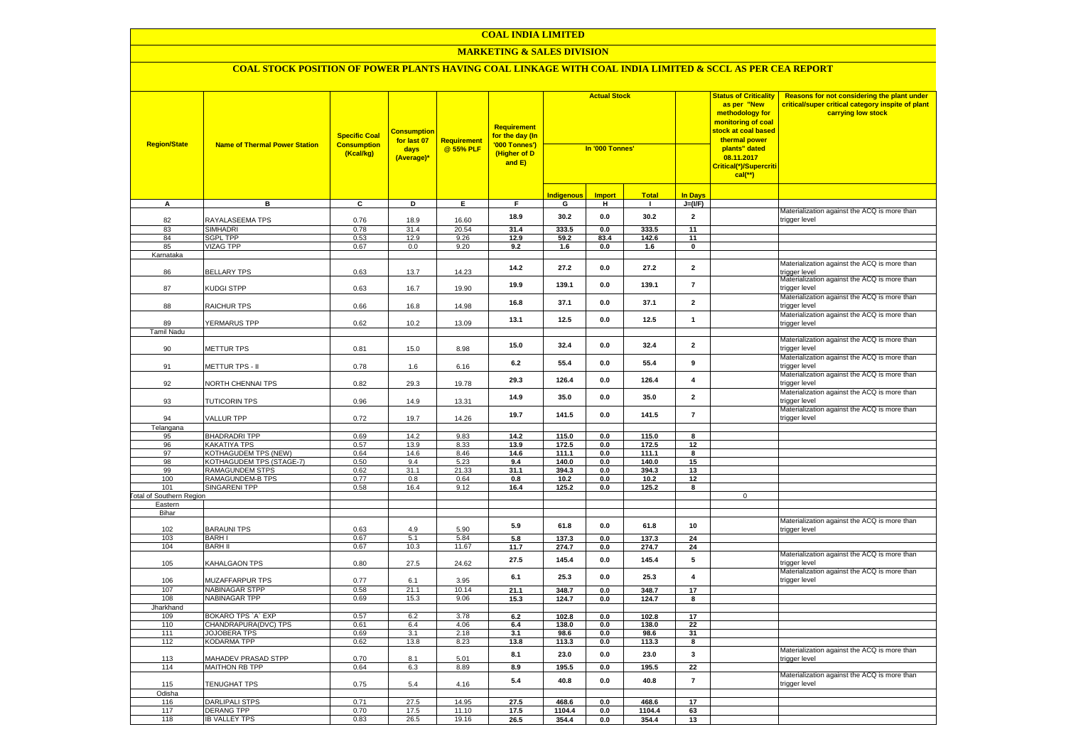### **MARKETING & SALES DIVISION**

| <b>Region/State</b>             | <b>Name of Thermal Power Station</b>                    | <b>Specific Coal</b><br><b>Consumption</b><br>(Kcal/kg) | <b>Consumption</b><br>for last 07<br>days<br>(Average)* | Requirement<br>@ 55% PLF | <b>Requirement</b><br>for the day (In<br>'000 Tonnes')<br>(Higher of D<br>and E) | <b>Actual Stock</b><br>In '000 Tonnes' |               |                | <b>Status of Criticality</b><br>as per "New<br>methodology for<br>monitoring of coal<br><mark>stock at coal based</mark><br>thermal power<br>plants" dated<br>08.11.2017<br>Critical(*)/Supercriti<br>$cal$ (**) |                     | Reasons for not considering the plant under<br>critical/super critical category inspite of plant<br>carrying low stock |
|---------------------------------|---------------------------------------------------------|---------------------------------------------------------|---------------------------------------------------------|--------------------------|----------------------------------------------------------------------------------|----------------------------------------|---------------|----------------|------------------------------------------------------------------------------------------------------------------------------------------------------------------------------------------------------------------|---------------------|------------------------------------------------------------------------------------------------------------------------|
|                                 |                                                         |                                                         |                                                         |                          |                                                                                  | <b>Indigenous</b>                      | <b>Import</b> | <b>Total</b>   | <b>In Days</b>                                                                                                                                                                                                   |                     |                                                                                                                        |
| A                               | в                                                       | C                                                       | D                                                       | Е.                       | F.                                                                               | G                                      | н             | $\mathbf{I}$   | $J=(VF)$                                                                                                                                                                                                         |                     |                                                                                                                        |
| 82                              | RAYALASEEMA TPS                                         | 0.76                                                    | 18.9                                                    | 16.60                    | 18.9                                                                             | 30.2                                   | 0.0           | 30.2           | $\overline{2}$                                                                                                                                                                                                   |                     | Materialization against the ACQ is more than<br>trigger level                                                          |
| 83                              | <b>SIMHADRI</b>                                         | 0.78                                                    | 31.4                                                    | 20.54                    | 31.4                                                                             | 333.5                                  | 0.0           | 333.5          | 11                                                                                                                                                                                                               |                     |                                                                                                                        |
| 84                              | <b>SGPL TPP</b>                                         | 0.53                                                    | 12.9                                                    | 9.26                     | 12.9                                                                             | 59.2                                   | 83.4          | 142.6          | 11                                                                                                                                                                                                               |                     |                                                                                                                        |
| 85                              | VIZAG TPP                                               | 0.67                                                    | 0.0                                                     | 9.20                     | 9.2                                                                              | 1.6                                    | 0.0           | 1.6            | $\mathbf 0$                                                                                                                                                                                                      |                     |                                                                                                                        |
| Karnataka                       |                                                         |                                                         |                                                         |                          |                                                                                  |                                        |               |                |                                                                                                                                                                                                                  |                     |                                                                                                                        |
| 86                              | <b>BELLARY TPS</b>                                      | 0.63                                                    | 13.7                                                    | 14.23                    | 14.2                                                                             | 27.2                                   | 0.0           | 27.2           | $\overline{2}$                                                                                                                                                                                                   |                     | Materialization against the ACQ is more than<br>rigger level                                                           |
| 87                              | KUDGI STPP                                              | 0.63                                                    | 16.7                                                    | 19.90                    | 19.9                                                                             | 139.1                                  | 0.0           | 139.1          | $\overline{7}$                                                                                                                                                                                                   |                     | Materialization against the ACQ is more than<br>trigger level                                                          |
| 88                              | RAICHUR TPS                                             | 0.66                                                    | 16.8                                                    | 14.98                    | 16.8                                                                             | 37.1                                   | 0.0           | 37.1           | $\overline{2}$                                                                                                                                                                                                   |                     | Materialization against the ACQ is more than<br>trigger level                                                          |
| 89                              | YERMARUS TPP                                            | 0.62                                                    | 10.2                                                    | 13.09                    | 13.1                                                                             | 12.5                                   | 0.0           | 12.5           | $\mathbf{1}$                                                                                                                                                                                                     |                     | Materialization against the ACQ is more than<br>trigger level                                                          |
| Tamil Nadu                      |                                                         |                                                         |                                                         |                          |                                                                                  |                                        |               |                |                                                                                                                                                                                                                  |                     | Materialization against the ACQ is more than                                                                           |
| 90                              | METTUR TPS                                              | 0.81                                                    | 15.0                                                    | 8.98                     | 15.0                                                                             | 32.4                                   | 0.0           | 32.4           | $\overline{\mathbf{2}}$                                                                                                                                                                                          |                     | trigger level                                                                                                          |
| 91                              | METTUR TPS - II                                         | 0.78                                                    | 1.6                                                     | 6.16                     | 6.2                                                                              | 55.4                                   | 0.0           | 55.4           | 9                                                                                                                                                                                                                |                     | Materialization against the ACQ is more than<br>rigger level                                                           |
| 92                              | NORTH CHENNAI TPS                                       | 0.82                                                    | 29.3                                                    | 19.78                    | 29.3                                                                             | 126.4                                  | 0.0           | 126.4          | $\overline{\mathbf{4}}$                                                                                                                                                                                          |                     | Materialization against the ACQ is more than<br>rigger level                                                           |
| 93                              | TUTICORIN TPS                                           | 0.96                                                    | 14.9                                                    | 13.31                    | 14.9                                                                             | 35.0                                   | 0.0           | 35.0           | $\overline{\mathbf{2}}$                                                                                                                                                                                          |                     | Materialization against the ACQ is more than<br>rigger level                                                           |
| 94                              | VALLUR TPP                                              | 0.72                                                    | 19.7                                                    | 14.26                    | 19.7                                                                             | 141.5                                  | 0.0           | 141.5          | $\overline{7}$                                                                                                                                                                                                   |                     | Materialization against the ACQ is more than<br>rigger level                                                           |
| Telangana                       |                                                         |                                                         |                                                         |                          |                                                                                  |                                        |               |                |                                                                                                                                                                                                                  |                     |                                                                                                                        |
| 95                              | <b>BHADRADRI TPP</b>                                    | 0.69                                                    | 14.2                                                    | 9.83                     | 14.2                                                                             | 115.0                                  | 0.0           | 115.0          | 8                                                                                                                                                                                                                |                     |                                                                                                                        |
| 96                              | <b>KAKATIYA TPS</b>                                     | 0.57                                                    | 13.9                                                    | 8.33                     | 13.9                                                                             | 172.5                                  | 0.0           | 172.5          | 12                                                                                                                                                                                                               |                     |                                                                                                                        |
| 97<br>98                        | <b>KOTHAGUDEM TPS (NEW)</b><br>KOTHAGUDEM TPS (STAGE-7) | 0.64<br>0.50                                            | 14.6<br>9.4                                             | 8.46<br>5.23             | 14.6<br>9.4                                                                      | 111.1<br>140.0                         | 0.0<br>0.0    | 111.1<br>140.0 | 8<br>15                                                                                                                                                                                                          |                     |                                                                                                                        |
| 99                              | RAMAGUNDEM STPS                                         | 0.62                                                    | 31.1                                                    | 21.33                    | 31.1                                                                             | 394.3                                  | 0.0           | 394.3          | 13                                                                                                                                                                                                               |                     |                                                                                                                        |
| 100                             | RAMAGUNDEM-B TPS                                        | 0.77                                                    | 0.8                                                     | 0.64                     | 0.8                                                                              | 10.2                                   | 0.0           | 10.2           | 12                                                                                                                                                                                                               |                     |                                                                                                                        |
| 101                             | SINGARENI TPP                                           | 0.58                                                    | 16.4                                                    | 9.12                     | 16.4                                                                             | 125.2                                  | 0.0           | 125.2          | 8                                                                                                                                                                                                                |                     |                                                                                                                        |
| <b>Fotal of Southern Region</b> |                                                         |                                                         |                                                         |                          |                                                                                  |                                        |               |                |                                                                                                                                                                                                                  | $\mathsf{O}\xspace$ |                                                                                                                        |
| Eastern                         |                                                         |                                                         |                                                         |                          |                                                                                  |                                        |               |                |                                                                                                                                                                                                                  |                     |                                                                                                                        |
| Bihar                           |                                                         |                                                         |                                                         |                          |                                                                                  |                                        |               |                |                                                                                                                                                                                                                  |                     |                                                                                                                        |
| 102                             | <b>BARAUNI TPS</b>                                      | 0.63                                                    | 4.9                                                     | 5.90                     | 5.9                                                                              | 61.8                                   | 0.0           | 61.8           | 10                                                                                                                                                                                                               |                     | Materialization against the ACQ is more than<br>trigger level                                                          |
| 103                             | <b>BARHI</b>                                            | 0.67                                                    | 5.1                                                     | 5.84                     | 5.8                                                                              | 137.3                                  | 0.0           | 137.3          | 24                                                                                                                                                                                                               |                     |                                                                                                                        |
| 104                             | <b>BARH II</b>                                          | 0.67                                                    | 10.3                                                    | 11.67                    | 11.7                                                                             | 274.7                                  | 0.0           | 274.7          | 24                                                                                                                                                                                                               |                     |                                                                                                                        |
| 105                             | <b>KAHALGAON TPS</b>                                    | 0.80                                                    | 27.5                                                    | 24.62                    | 27.5                                                                             | 145.4                                  | 0.0           | 145.4          | $5\phantom{.0}$                                                                                                                                                                                                  |                     | Materialization against the ACQ is more than<br>rigger level                                                           |
| 106                             | <b>MUZAFFARPUR TPS</b>                                  | 0.77                                                    | 6.1                                                     | 3.95                     | 6.1                                                                              | 25.3                                   | 0.0           | 25.3           | $\overline{\mathbf{4}}$                                                                                                                                                                                          |                     | Materialization against the ACQ is more than<br>rigger level                                                           |
| 107                             | NABINAGAR STPP                                          | 0.58                                                    | 21.1                                                    | 10.14                    | 21.1                                                                             | 348.7                                  | 0.0           | 348.7          | 17                                                                                                                                                                                                               |                     |                                                                                                                        |
| 108                             | NABINAGAR TPP                                           | 0.69                                                    | 15.3                                                    | 9.06                     | 15.3                                                                             | 124.7                                  | 0.0           | 124.7          | 8                                                                                                                                                                                                                |                     |                                                                                                                        |
| Jharkhand<br>109                | BOKARO TPS 'A' EXP                                      | 0.57                                                    | 6.2                                                     | 3.78                     | 6.2                                                                              | 102.8                                  | 0.0           | 102.8          | 17                                                                                                                                                                                                               |                     |                                                                                                                        |
| 110                             | CHANDRAPURA(DVC) TPS                                    | 0.61                                                    | 6.4                                                     | 4.06                     | 6.4                                                                              | 138.0                                  | 0.0           | 138.0          | 22                                                                                                                                                                                                               |                     |                                                                                                                        |
| 111                             | JOJOBERA TPS                                            | 0.69                                                    | 3.1                                                     | 2.18                     | 3.1                                                                              | 98.6                                   | 0.0           | 98.6           | 31                                                                                                                                                                                                               |                     |                                                                                                                        |
| 112                             | KODARMA TPP                                             | 0.62                                                    | 13.8                                                    | 8.23                     | 13.8                                                                             | 113.3                                  | 0.0           | 113.3          | 8                                                                                                                                                                                                                |                     |                                                                                                                        |
| 113                             | <b>MAHADEV PRASAD STPP</b>                              | 0.70                                                    | 8.1                                                     | 5.01                     | 8.1                                                                              | 23.0                                   | 0.0           | 23.0           | $\mathbf{3}$                                                                                                                                                                                                     |                     | Materialization against the ACQ is more than<br>rigger level                                                           |
| 114                             | MAITHON RB TPP                                          | 0.64                                                    | 6.3                                                     | 8.89                     | 8.9                                                                              | 195.5                                  | 0.0           | 195.5          | 22                                                                                                                                                                                                               |                     |                                                                                                                        |
| 115                             | TENUGHAT TPS                                            | 0.75                                                    | 5.4                                                     | 4.16                     | 5.4                                                                              | 40.8                                   | 0.0           | 40.8           | $\overline{7}$                                                                                                                                                                                                   |                     | Materialization against the ACQ is more than<br>trigger level                                                          |
| Odisha                          |                                                         |                                                         |                                                         |                          |                                                                                  |                                        |               |                |                                                                                                                                                                                                                  |                     |                                                                                                                        |
| 116                             | <b>DARLIPALI STPS</b>                                   | 0.71                                                    | 27.5                                                    | 14.95                    | 27.5                                                                             | 468.6                                  | 0.0           | 468.6          | 17                                                                                                                                                                                                               |                     |                                                                                                                        |
| 117                             | <b>DERANG TPP</b>                                       | 0.70                                                    | 17.5                                                    | 11.10                    | 17.5                                                                             | 1104.4                                 | 0.0           | 1104.4         | 63                                                                                                                                                                                                               |                     |                                                                                                                        |
| 118                             | <b>IB VALLEY TPS</b>                                    | 0.83                                                    | 26.5                                                    | 19.16                    | 26.5                                                                             | 354.4                                  | 0.0           | 354.4          | 13                                                                                                                                                                                                               |                     |                                                                                                                        |